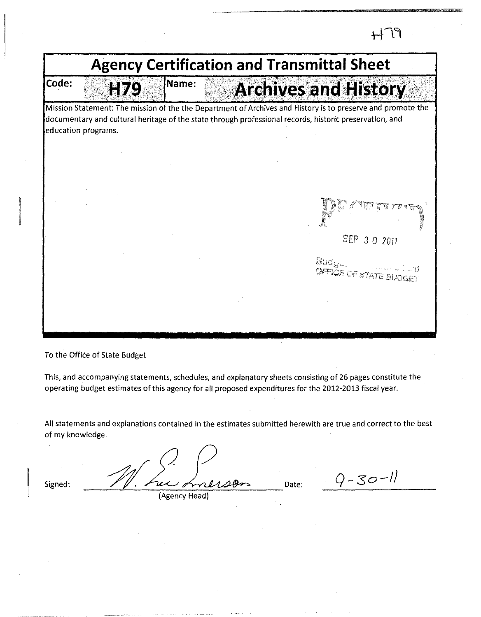$H$ 79 **Agency Certification and Transmittal Sheet**  Name: **Code: Archives and History** H79 Mission Statement: The mission of the the Department of Archives and History is to preserve and promote the documentary and cultural heritage of the state through professional records, historic preservation, and education programs. SEP *3* 0 2011 Budgel **OFFICE OF STATE BUDGET** 

To the Office of State Budget

This, and accompanying statements, schedules, and explanatory sheets consisting of 26 pages constitute the operating budget estimates of this agency for all proposed expenditures for the 2012-2013 fiscal year.

All statements and explanations contained in the estimates submitted herewith are true and correct to the best of my knowledge.

Signed: Date: (Agency Head)

 $.9 - 30 - 11$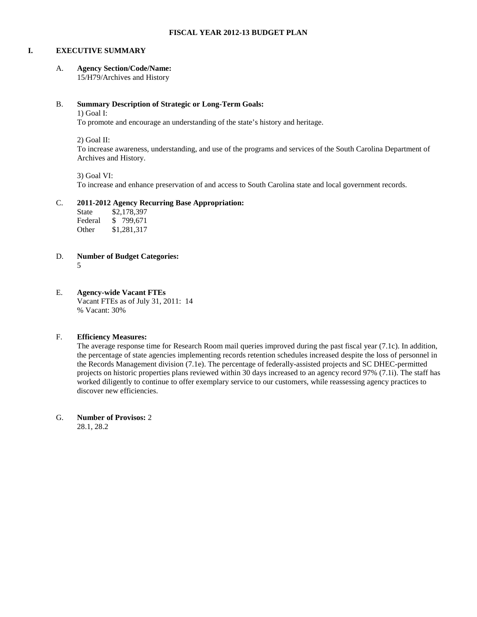#### **I. EXECUTIVE SUMMARY**

#### A. **Agency Section/Code/Name:**

15/H79/Archives and History

#### B. **Summary Description of Strategic or Long-Term Goals:**

1) Goal I:

To promote and encourage an understanding of the state's history and heritage.

2) Goal II:

To increase awareness, understanding, and use of the programs and services of the South Carolina Department of Archives and History.

3) Goal VI:

To increase and enhance preservation of and access to South Carolina state and local government records.

#### C. **2011-2012 Agency Recurring Base Appropriation:**

| State   | \$2,178,397 |
|---------|-------------|
| Federal | \$799,671   |
| Other   | \$1,281,317 |

- D. **Number of Budget Categories:**
	- 5
- E. **Agency-wide Vacant FTEs**

Vacant FTEs as of July 31, 2011: 14 % Vacant: 30%

#### F. **Efficiency Measures:**

The average response time for Research Room mail queries improved during the past fiscal year (7.1c). In addition, the percentage of state agencies implementing records retention schedules increased despite the loss of personnel in the Records Management division (7.1e). The percentage of federally-assisted projects and SC DHEC-permitted projects on historic properties plans reviewed within 30 days increased to an agency record 97% (7.1i). The staff has worked diligently to continue to offer exemplary service to our customers, while reassessing agency practices to discover new efficiencies.

G. **Number of Provisos:** 2

28.1, 28.2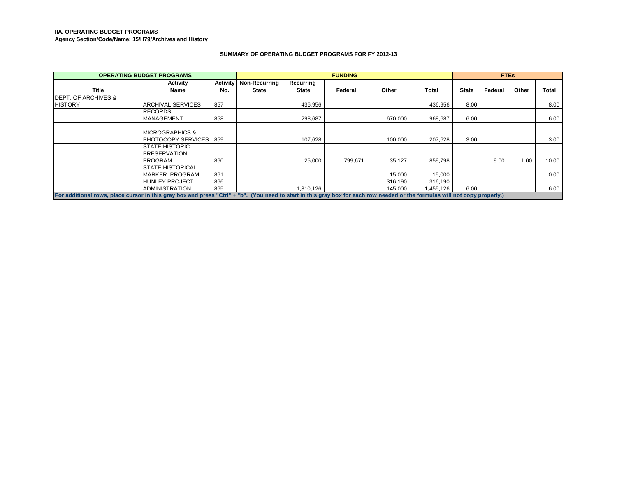#### **IIA. OPERATING BUDGET PROGRAMS**

**Agency Section/Code/Name: 15/H79/Archives and History**

#### **SUMMARY OF OPERATING BUDGET PROGRAMS FOR FY 2012-13**

|                                                                                                                                                                             | <b>OPERATING BUDGET PROGRAMS</b> |                 |                      | <b>FUNDING</b> |         |         | <b>FTEs</b> |              |         |       |       |
|-----------------------------------------------------------------------------------------------------------------------------------------------------------------------------|----------------------------------|-----------------|----------------------|----------------|---------|---------|-------------|--------------|---------|-------|-------|
|                                                                                                                                                                             | <b>Activity</b>                  | <b>Activity</b> | <b>Non-Recurring</b> | Recurring      |         |         |             |              |         |       |       |
| Title                                                                                                                                                                       | Name                             | No.             | <b>State</b>         | <b>State</b>   | Federal | Other   | Total       | <b>State</b> | Federal | Other | Total |
| <b>IDEPT. OF ARCHIVES &amp;</b>                                                                                                                                             |                                  |                 |                      |                |         |         |             |              |         |       |       |
| <b>HISTORY</b>                                                                                                                                                              | <b>ARCHIVAL SERVICES</b>         | 857             |                      | 436,956        |         |         | 436,956     | 8.00         |         |       | 8.00  |
|                                                                                                                                                                             | <b>RECORDS</b>                   |                 |                      |                |         |         |             |              |         |       |       |
|                                                                                                                                                                             | <b>MANAGEMENT</b>                | 858             |                      | 298.687        |         | 670.000 | 968.687     | 6.00         |         |       | 6.00  |
|                                                                                                                                                                             |                                  |                 |                      |                |         |         |             |              |         |       |       |
|                                                                                                                                                                             | <b>IMICROGRAPHICS &amp;</b>      |                 |                      |                |         |         |             |              |         |       |       |
|                                                                                                                                                                             | <b>PHOTOCOPY SERVICES 1859</b>   |                 |                      | 107.628        |         | 100,000 | 207.628     | 3.00         |         |       | 3.00  |
|                                                                                                                                                                             | <b>STATE HISTORIC</b>            |                 |                      |                |         |         |             |              |         |       |       |
|                                                                                                                                                                             | <b>PRESERVATION</b>              |                 |                      |                |         |         |             |              |         |       |       |
|                                                                                                                                                                             | PROGRAM                          | 860             |                      | 25.000         | 799.671 | 35.127  | 859,798     |              | 9.00    | 1.00  | 10.00 |
|                                                                                                                                                                             | ISTATE HISTORICAL                |                 |                      |                |         |         |             |              |         |       |       |
|                                                                                                                                                                             | MARKER PROGRAM                   | 861             |                      |                |         | 15,000  | 15,000      |              |         |       | 0.00  |
|                                                                                                                                                                             | <b>HUNLEY PROJECT</b>            | 866             |                      |                |         | 316.190 | 316,190     |              |         |       |       |
|                                                                                                                                                                             | <b>ADMINISTRATION</b>            | 865             |                      | 1.310.126      |         | 145,000 | 1,455,126   | 6.00         |         |       | 6.00  |
| For additional rows, place cursor in this gray box and press "Ctrl" + "b". (You need to start in this gray box for each row needed or the formulas will not copy properly.) |                                  |                 |                      |                |         |         |             |              |         |       |       |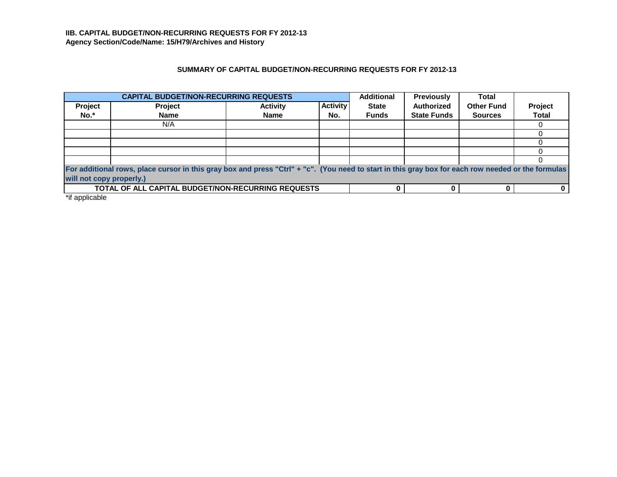## **SUMMARY OF CAPITAL BUDGET/NON-RECURRING REQUESTS FOR FY 2012-13**

|         | <b>CAPITAL BUDGET/NON-RECURRING REQUESTS</b>                                                                                                       |                 |                 | <b>Additional</b> | <b>Previously</b>  | <b>Total</b>      |              |
|---------|----------------------------------------------------------------------------------------------------------------------------------------------------|-----------------|-----------------|-------------------|--------------------|-------------------|--------------|
| Project | Project                                                                                                                                            | <b>Activity</b> | <b>Activity</b> | <b>State</b>      | Authorized         | <b>Other Fund</b> | Project      |
| No.*    | <b>Name</b>                                                                                                                                        | <b>Name</b>     | No.             | <b>Funds</b>      | <b>State Funds</b> | <b>Sources</b>    | <b>Total</b> |
|         | N/A                                                                                                                                                |                 |                 |                   |                    |                   |              |
|         |                                                                                                                                                    |                 |                 |                   |                    |                   |              |
|         |                                                                                                                                                    |                 |                 |                   |                    |                   |              |
|         |                                                                                                                                                    |                 |                 |                   |                    |                   |              |
|         |                                                                                                                                                    |                 |                 |                   |                    |                   |              |
|         | For additional rows, place cursor in this gray box and press "Ctrl" + "c". (You need to start in this gray box for each row needed or the formulas |                 |                 |                   |                    |                   |              |
|         | will not copy properly.)                                                                                                                           |                 |                 |                   |                    |                   |              |
|         | <b>TOTAL OF ALL CAPITAL BUDGET/NON-RECURRING REQUESTS</b>                                                                                          |                 |                 |                   |                    |                   |              |

\*if applicable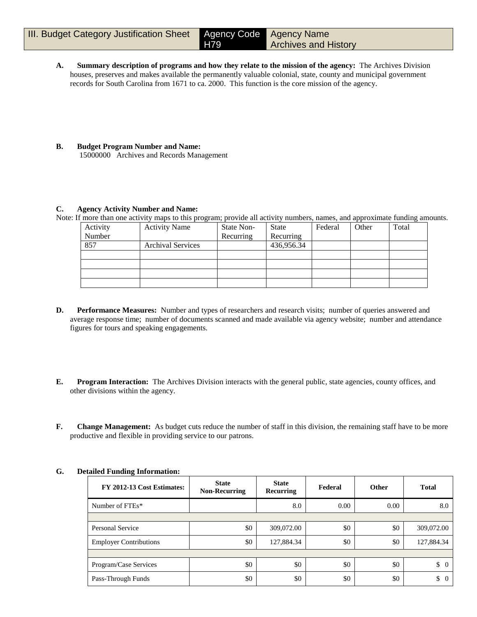**A. Summary description of programs and how they relate to the mission of the agency:** The Archives Division houses, preserves and makes available the permanently valuable colonial, state, county and municipal government records for South Carolina from 1671 to ca. 2000. This function is the core mission of the agency.

H79

**B. Budget Program Number and Name:** 15000000 Archives and Records Management

#### **C. Agency Activity Number and Name:**

Note: If more than one activity maps to this program; provide all activity numbers, names, and approximate funding amounts.

| Activity | <b>Activity Name</b>     | State Non- | <b>State</b> | Federal | Other | Total |
|----------|--------------------------|------------|--------------|---------|-------|-------|
| Number   |                          | Recurring  | Recurring    |         |       |       |
| 857      | <b>Archival Services</b> |            | 436,956.34   |         |       |       |
|          |                          |            |              |         |       |       |
|          |                          |            |              |         |       |       |
|          |                          |            |              |         |       |       |
|          |                          |            |              |         |       |       |

- **D. Performance Measures:** Number and types of researchers and research visits; number of queries answered and average response time; number of documents scanned and made available via agency website; number and attendance figures for tours and speaking engagements.
- **E. Program Interaction:** The Archives Division interacts with the general public, state agencies, county offices, and other divisions within the agency.
- **F. Change Management:** As budget cuts reduce the number of staff in this division, the remaining staff have to be more productive and flexible in providing service to our patrons.

| FY 2012-13 Cost Estimates:    | <b>State</b><br><b>Non-Recurring</b> | <b>State</b><br><b>Recurring</b> | Federal | <b>Other</b> | <b>Total</b>         |
|-------------------------------|--------------------------------------|----------------------------------|---------|--------------|----------------------|
| Number of FTEs*               |                                      | 8.0                              | 0.00    | 0.00         | 8.0                  |
|                               |                                      |                                  |         |              |                      |
| Personal Service              | \$0                                  | 309,072.00                       | \$0     | \$0          | 309,072.00           |
| <b>Employer Contributions</b> | \$0                                  | 127,884.34                       | \$0     | \$0          | 127,884.34           |
|                               |                                      |                                  |         |              |                      |
| Program/Case Services         | \$0                                  | \$0                              | \$0     | \$0          | \$<br>$\overline{0}$ |
| Pass-Through Funds            | \$0                                  | \$0                              | \$0     | \$0          | \$<br>$\overline{0}$ |

## **G. Detailed Funding Information:**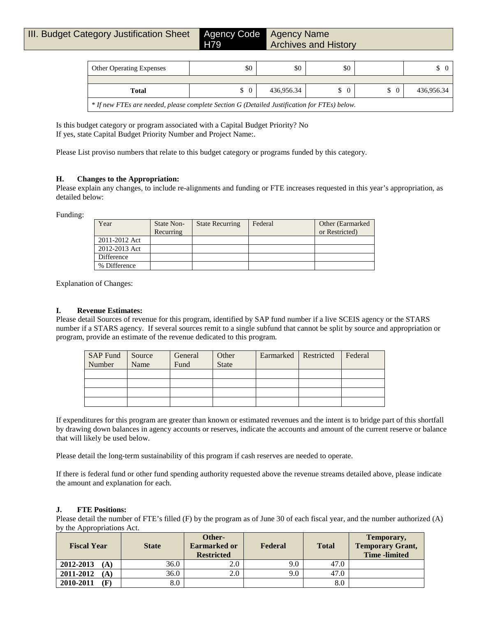H79

Agency Name Archives and History

| <b>Other Operating Expenses</b>                                                              | \$0      | \$0        | \$0 |  |            |  |  |
|----------------------------------------------------------------------------------------------|----------|------------|-----|--|------------|--|--|
|                                                                                              |          |            |     |  |            |  |  |
| Total                                                                                        | $\Omega$ | 436,956.34 |     |  | 436,956.34 |  |  |
| * If new FTEs are needed, please complete Section G (Detailed Justification for FTEs) below. |          |            |     |  |            |  |  |

Is this budget category or program associated with a Capital Budget Priority? No If yes, state Capital Budget Priority Number and Project Name:.

Please List proviso numbers that relate to this budget category or programs funded by this category.

#### **H. Changes to the Appropriation:**

Please explain any changes, to include re-alignments and funding or FTE increases requested in this year's appropriation, as detailed below:

Funding:

| Year          | <b>State Non-</b> | <b>State Recurring</b> | Federal | Other (Earmarked) |
|---------------|-------------------|------------------------|---------|-------------------|
|               | Recurring         |                        |         | or Restricted)    |
| 2011-2012 Act |                   |                        |         |                   |
| 2012-2013 Act |                   |                        |         |                   |
| Difference    |                   |                        |         |                   |
| % Difference  |                   |                        |         |                   |

Explanation of Changes:

## **I. Revenue Estimates:**

Please detail Sources of revenue for this program, identified by SAP fund number if a live SCEIS agency or the STARS number if a STARS agency. If several sources remit to a single subfund that cannot be split by source and appropriation or program, provide an estimate of the revenue dedicated to this program.

| SAP Fund Source<br>Number | Name | General<br>Fund | Other<br><b>State</b> | Earmarked Restricted | Federal |
|---------------------------|------|-----------------|-----------------------|----------------------|---------|
|                           |      |                 |                       |                      |         |
|                           |      |                 |                       |                      |         |
|                           |      |                 |                       |                      |         |
|                           |      |                 |                       |                      |         |

If expenditures for this program are greater than known or estimated revenues and the intent is to bridge part of this shortfall by drawing down balances in agency accounts or reserves, indicate the accounts and amount of the current reserve or balance that will likely be used below.

Please detail the long-term sustainability of this program if cash reserves are needed to operate.

If there is federal fund or other fund spending authority requested above the revenue streams detailed above, please indicate the amount and explanation for each.

## **J. FTE Positions:**

Please detail the number of FTE's filled (F) by the program as of June 30 of each fiscal year, and the number authorized (A) by the Appropriations Act.

| <b>Fiscal Year</b>     | <b>State</b> | Other-<br><b>Earmarked or</b><br><b>Restricted</b> | Federal | <b>Total</b> | Temporary,<br><b>Temporary Grant,</b><br><b>Time-limited</b> |
|------------------------|--------------|----------------------------------------------------|---------|--------------|--------------------------------------------------------------|
| 2012-2013<br>(A)       | 36.0         | 2.0                                                | 9.0     | 47.0         |                                                              |
| 2011-2012<br>(A)       | 36.0         | 2.0                                                | 9.0     | 47.0         |                                                              |
| 2010-2011<br>$\bf (F)$ | 8.0          |                                                    |         | 8.0          |                                                              |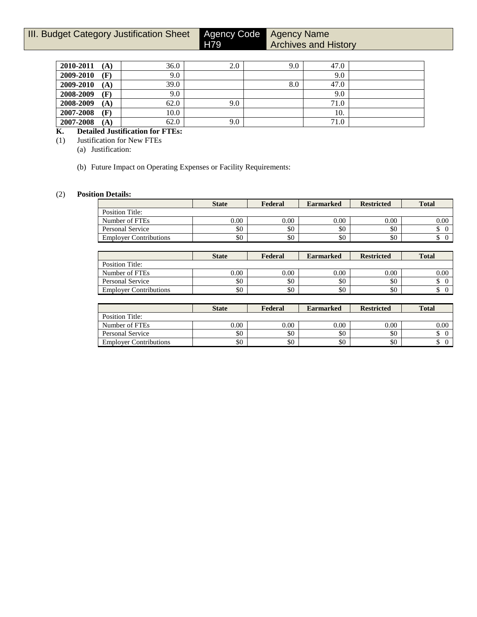Agency Name

Archives and History

| 2010-2011<br>(A) | 36.0 | 2.0 | 9.0 | 47.0 |  |
|------------------|------|-----|-----|------|--|
| 2009-2010<br>(F) | 9.0  |     |     | 9.0  |  |
| 2009-2010<br>(A) | 39.0 |     | 8.0 | 47.0 |  |
| 2008-2009<br>(F) | 9.0  |     |     | 9.0  |  |
| 2008-2009<br>(A) | 62.0 | 9.0 |     | 71.0 |  |
| 2007-2008<br>(F) | 10.0 |     |     | 10.  |  |
| 2007-2008<br>(A) | 62.0 | 9.0 |     | 71.0 |  |

H79

## **K. Detailed Justification for FTEs:**

(1) Justification for New FTEs

(a) Justification:

(b) Future Impact on Operating Expenses or Facility Requirements:

## (2) **Position Details:**

|                               | <b>State</b> | Federal | <b>Earmarked</b> | <b>Restricted</b> | <b>Total</b> |
|-------------------------------|--------------|---------|------------------|-------------------|--------------|
| Position Title:               |              |         |                  |                   |              |
| Number of FTEs                | 0.00         | 0.00    | 0.00             | 0.00              | 0.00         |
| Personal Service              | \$0          | \$0     | \$0              | \$0               |              |
| <b>Employer Contributions</b> | \$0          | \$0     | \$0              | \$0               |              |

|                               | <b>State</b> | Federal | <b>Earmarked</b> | <b>Restricted</b> | <b>Total</b> |
|-------------------------------|--------------|---------|------------------|-------------------|--------------|
| Position Title:               |              |         |                  |                   |              |
| Number of FTEs                | $0.00\,$     | 0.00    | 0.00             | 0.00              | 0.00         |
| Personal Service              | \$0          | \$0     | \$0              | \$0               |              |
| <b>Employer Contributions</b> | \$0          | \$0     | \$0              | \$0               |              |

|                               | <b>State</b><br>Federal |          | <b>Earmarked</b> | <b>Restricted</b> | <b>Total</b> |
|-------------------------------|-------------------------|----------|------------------|-------------------|--------------|
| Position Title:               |                         |          |                  |                   |              |
| Number of FTEs                | 0.00                    | $0.00\,$ | 0.00             | 0.00              | 0.00         |
| Personal Service              | \$0                     | \$0      | \$0              | \$0               |              |
| <b>Employer Contributions</b> | \$0                     | \$0      | \$0              | \$0               |              |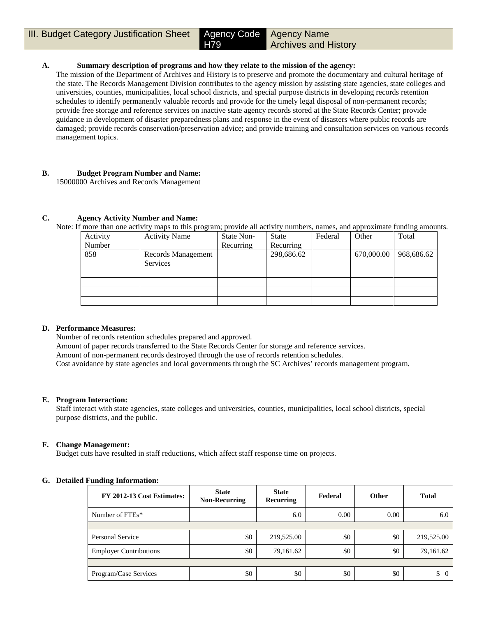**III. Budget Category Justification Sheet Agency Code** 

Agency Name Archives and History

## **A. Summary description of programs and how they relate to the mission of the agency:**

H79

The mission of the Department of Archives and History is to preserve and promote the documentary and cultural heritage of the state. The Records Management Division contributes to the agency mission by assisting state agencies, state colleges and universities, counties, municipalities, local school districts, and special purpose districts in developing records retention schedules to identify permanently valuable records and provide for the timely legal disposal of non-permanent records; provide free storage and reference services on inactive state agency records stored at the State Records Center; provide guidance in development of disaster preparedness plans and response in the event of disasters where public records are damaged; provide records conservation/preservation advice; and provide training and consultation services on various records management topics.

#### **B. Budget Program Number and Name:** 15000000 Archives and Records Management

#### **C. Agency Activity Number and Name:**

Note: If more than one activity maps to this program; provide all activity numbers, names, and approximate funding amounts.

| Activity | <b>Activity Name</b> | State Non- | <b>State</b> | Federal | Other      | Total      |
|----------|----------------------|------------|--------------|---------|------------|------------|
| Number   |                      | Recurring  | Recurring    |         |            |            |
| 858      | Records Management   |            | 298,686.62   |         | 670,000.00 | 968,686.62 |
|          | <b>Services</b>      |            |              |         |            |            |
|          |                      |            |              |         |            |            |
|          |                      |            |              |         |            |            |
|          |                      |            |              |         |            |            |
|          |                      |            |              |         |            |            |
|          |                      |            |              |         |            |            |

## **D. Performance Measures:**

Number of records retention schedules prepared and approved.

Amount of paper records transferred to the State Records Center for storage and reference services.

Amount of non-permanent records destroyed through the use of records retention schedules.

Cost avoidance by state agencies and local governments through the SC Archives' records management program.

## **E. Program Interaction:**

Staff interact with state agencies, state colleges and universities, counties, municipalities, local school districts, special purpose districts, and the public.

## **F. Change Management:**

Budget cuts have resulted in staff reductions, which affect staff response time on projects.

#### **G. Detailed Funding Information:**

| FY 2012-13 Cost Estimates:    | <b>State</b><br><b>Non-Recurring</b> | <b>State</b><br>Recurring | Federal | Other | <b>Total</b>   |
|-------------------------------|--------------------------------------|---------------------------|---------|-------|----------------|
| Number of FTEs*               |                                      | 6.0                       | 0.00    | 0.00  | 6.0            |
|                               |                                      |                           |         |       |                |
| Personal Service              | \$0                                  | 219,525.00                | \$0     | \$0   | 219,525.00     |
| <b>Employer Contributions</b> | \$0                                  | 79,161.62                 | \$0     | \$0   | 79,161.62      |
|                               |                                      |                           |         |       |                |
| Program/Case Services         | \$0                                  | \$0                       | \$0     | \$0   | \$<br>$\theta$ |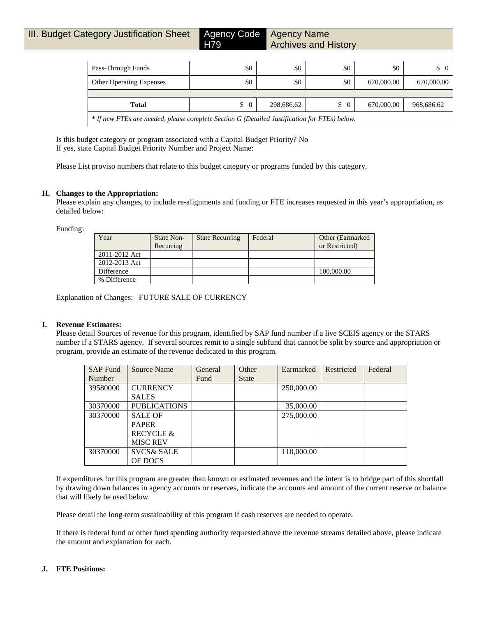|  |  |  | III. Budget Category Justification Sheet |  |
|--|--|--|------------------------------------------|--|
|--|--|--|------------------------------------------|--|

Agency Code Agency Name Archives and History

| Pass-Through Funds                                                                           | \$0                  | \$0        | \$0           | \$0        | $\begin{matrix} 0 \end{matrix}$ |  |  |  |
|----------------------------------------------------------------------------------------------|----------------------|------------|---------------|------------|---------------------------------|--|--|--|
| <b>Other Operating Expenses</b>                                                              | \$0                  | \$0        | \$0           | 670,000.00 | 670,000.00                      |  |  |  |
|                                                                                              |                      |            |               |            |                                 |  |  |  |
| <b>Total</b>                                                                                 | $\overline{0}$<br>\$ | 298,686.62 | $\frac{1}{2}$ | 670,000.00 | 968,686.62                      |  |  |  |
| * If new FTEs are needed, please complete Section G (Detailed Justification for FTEs) below. |                      |            |               |            |                                 |  |  |  |

Is this budget category or program associated with a Capital Budget Priority? No If yes, state Capital Budget Priority Number and Project Name:

Please List proviso numbers that relate to this budget category or programs funded by this category.

H<sub>79</sub>

## **H. Changes to the Appropriation:**

Please explain any changes, to include re-alignments and funding or FTE increases requested in this year's appropriation, as detailed below:

Funding:

| Year          | State Non-<br>Recurring | <b>State Recurring</b> | Federal | Other (Earmarked)<br>or Restricted) |
|---------------|-------------------------|------------------------|---------|-------------------------------------|
| 2011-2012 Act |                         |                        |         |                                     |
| 2012-2013 Act |                         |                        |         |                                     |
| Difference    |                         |                        |         | 100,000.00                          |
| % Difference  |                         |                        |         |                                     |

Explanation of Changes: FUTURE SALE OF CURRENCY

#### **I. Revenue Estimates:**

Please detail Sources of revenue for this program, identified by SAP fund number if a live SCEIS agency or the STARS number if a STARS agency. If several sources remit to a single subfund that cannot be split by source and appropriation or program, provide an estimate of the revenue dedicated to this program.

| <b>SAP Fund</b> | Source Name           | General | Other        | Earmarked  | Restricted | Federal |
|-----------------|-----------------------|---------|--------------|------------|------------|---------|
| Number          |                       | Fund    | <b>State</b> |            |            |         |
| 39580000        | <b>CURRENCY</b>       |         |              | 250,000.00 |            |         |
|                 | <b>SALES</b>          |         |              |            |            |         |
| 30370000        | <b>PUBLICATIONS</b>   |         |              | 35,000.00  |            |         |
| 30370000        | <b>SALE OF</b>        |         |              | 275,000.00 |            |         |
|                 | <b>PAPER</b>          |         |              |            |            |         |
|                 | <b>RECYCLE &amp;</b>  |         |              |            |            |         |
|                 | <b>MISC REV</b>       |         |              |            |            |         |
| 30370000        | <b>SVCS&amp; SALE</b> |         |              | 110,000.00 |            |         |
|                 | OF DOCS               |         |              |            |            |         |

If expenditures for this program are greater than known or estimated revenues and the intent is to bridge part of this shortfall by drawing down balances in agency accounts or reserves, indicate the accounts and amount of the current reserve or balance that will likely be used below.

Please detail the long-term sustainability of this program if cash reserves are needed to operate.

If there is federal fund or other fund spending authority requested above the revenue streams detailed above, please indicate the amount and explanation for each.

## **J. FTE Positions:**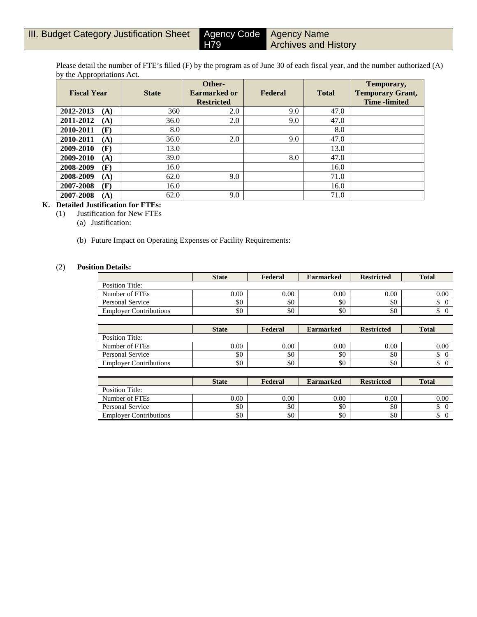Please detail the number of FTE's filled (F) by the program as of June 30 of each fiscal year, and the number authorized (A) by the Appropriations Act.

H79

| <b>Fiscal Year</b> | <b>State</b> | Other-<br><b>Earmarked or</b><br><b>Restricted</b> | Federal | <b>Total</b> | Temporary,<br><b>Temporary Grant,</b><br><b>Time</b> -limited |
|--------------------|--------------|----------------------------------------------------|---------|--------------|---------------------------------------------------------------|
| 2012-2013<br>(A)   | 360          | 2.0                                                | 9.0     | 47.0         |                                                               |
| 2011-2012<br>(A)   | 36.0         | 2.0                                                | 9.0     | 47.0         |                                                               |
| 2010-2011<br>(F)   | 8.0          |                                                    |         | 8.0          |                                                               |
| 2010-2011<br>(A)   | 36.0         | 2.0                                                | 9.0     | 47.0         |                                                               |
| 2009-2010<br>(F)   | 13.0         |                                                    |         | 13.0         |                                                               |
| 2009-2010<br>(A)   | 39.0         |                                                    | 8.0     | 47.0         |                                                               |
| 2008-2009<br>(F)   | 16.0         |                                                    |         | 16.0         |                                                               |
| 2008-2009<br>(A)   | 62.0         | 9.0                                                |         | 71.0         |                                                               |
| 2007-2008<br>(F)   | 16.0         |                                                    |         | 16.0         |                                                               |
| 2007-2008<br>(A)   | 62.0         | 9.0                                                |         | 71.0         |                                                               |

## **K. Detailed Justification for FTEs:**

(1) Justification for New FTEs

(a) Justification:

(b) Future Impact on Operating Expenses or Facility Requirements:

## (2) **Position Details:**

|                               | <b>State</b> | Federal<br><b>Earmarked</b> |                  | <b>Restricted</b> | <b>Total</b> |
|-------------------------------|--------------|-----------------------------|------------------|-------------------|--------------|
| Position Title:               |              |                             |                  |                   |              |
| Number of FTEs                | 0.00         | 0.00                        | 0.00             | 0.00              | 0.00         |
| Personal Service              | \$0          | \$0                         | \$0              | \$0               | J            |
| <b>Employer Contributions</b> | \$0          | \$0                         | \$0              | \$0               |              |
|                               |              |                             |                  |                   |              |
|                               | <b>State</b> | Federal                     | <b>Earmarked</b> | <b>Restricted</b> | <b>Total</b> |

|                               | -------  | -------- | ---------------- | ----------- | $  -$    |
|-------------------------------|----------|----------|------------------|-------------|----------|
| Position Title:               |          |          |                  |             |          |
| Number of FTEs                | $0.00\,$ | $0.00\,$ | 0.00             | 0.00        | $0.00\,$ |
| <b>Personal Service</b>       | \$0      | \$0      | \$0              | \$0         | ╜        |
| <b>Employer Contributions</b> | \$0      | \$0      | \$0              | \$0         | ഄ        |
|                               |          |          |                  |             |          |

|                               | <b>State</b> | Federal<br><b>Earmarked</b> |      | <b>Restricted</b> | <b>Total</b> |
|-------------------------------|--------------|-----------------------------|------|-------------------|--------------|
| Position Title:               |              |                             |      |                   |              |
| Number of FTEs                | 0.00         | 0.00                        | 0.00 | 0.00              | 0.00         |
| Personal Service              | \$0          | \$0                         | \$0  | \$0               | ╜            |
| <b>Employer Contributions</b> | \$0          | \$0                         | \$0  | \$0               | دا،          |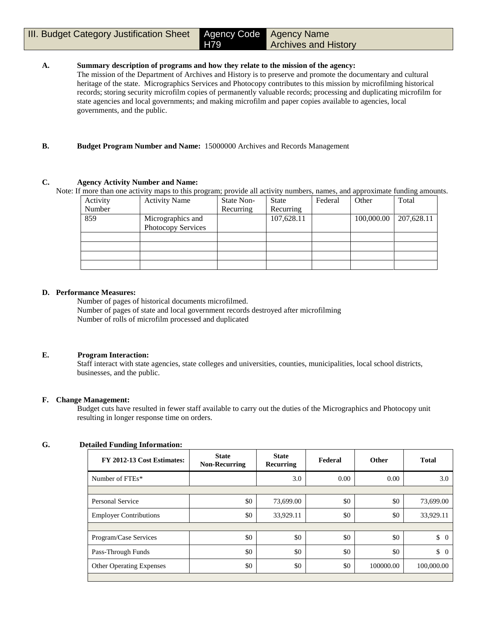#### H79 Agency Name Archives and History

## **A. Summary description of programs and how they relate to the mission of the agency:**

The mission of the Department of Archives and History is to preserve and promote the documentary and cultural heritage of the state. Micrographics Services and Photocopy contributes to this mission by microfilming historical records; storing security microfilm copies of permanently valuable records; processing and duplicating microfilm for state agencies and local governments; and making microfilm and paper copies available to agencies, local governments, and the public.

## **B. Budget Program Number and Name:** 15000000 Archives and Records Management

## **C. Agency Activity Number and Name:**

Note: If more than one activity maps to this program; provide all activity numbers, names, and approximate funding amounts.

| <b>Activity Name</b> | State Non- | <b>State</b> | Federal | Other      | Total      |
|----------------------|------------|--------------|---------|------------|------------|
|                      | Recurring  | Recurring    |         |            |            |
| Micrographics and    |            | 107,628.11   |         | 100,000.00 | 207,628.11 |
| Photocopy Services   |            |              |         |            |            |
|                      |            |              |         |            |            |
|                      |            |              |         |            |            |
|                      |            |              |         |            |            |
|                      |            |              |         |            |            |
|                      |            |              |         |            |            |

## **D. Performance Measures:**

Number of pages of historical documents microfilmed. Number of pages of state and local government records destroyed after microfilming Number of rolls of microfilm processed and duplicated

## **E. Program Interaction:**

Staff interact with state agencies, state colleges and universities, counties, municipalities, local school districts, businesses, and the public.

## **F. Change Management:**

Budget cuts have resulted in fewer staff available to carry out the duties of the Micrographics and Photocopy unit resulting in longer response time on orders.

## **G. Detailed Funding Information:**

| FY 2012-13 Cost Estimates:      | <b>State</b><br><b>Non-Recurring</b> | <b>State</b><br><b>Recurring</b> | Federal | <b>Other</b> | <b>Total</b>                    |
|---------------------------------|--------------------------------------|----------------------------------|---------|--------------|---------------------------------|
| Number of FTEs*                 |                                      | 3.0                              | 0.00    | 0.00         | 3.0                             |
|                                 |                                      |                                  |         |              |                                 |
| Personal Service                | \$0                                  | 73,699.00                        | \$0     | \$0          | 73,699.00                       |
| <b>Employer Contributions</b>   | \$0                                  | 33,929.11                        | \$0     | \$0          | 33,929.11                       |
|                                 |                                      |                                  |         |              |                                 |
| Program/Case Services           | \$0                                  | \$0                              | \$0     | \$0          | $\begin{matrix} 0 \end{matrix}$ |
| Pass-Through Funds              | \$0                                  | \$0                              | \$0     | \$0          | $\begin{matrix} 0 \end{matrix}$ |
| <b>Other Operating Expenses</b> | \$0                                  | \$0                              | \$0     | 100000.00    | 100,000.00                      |
|                                 |                                      |                                  |         |              |                                 |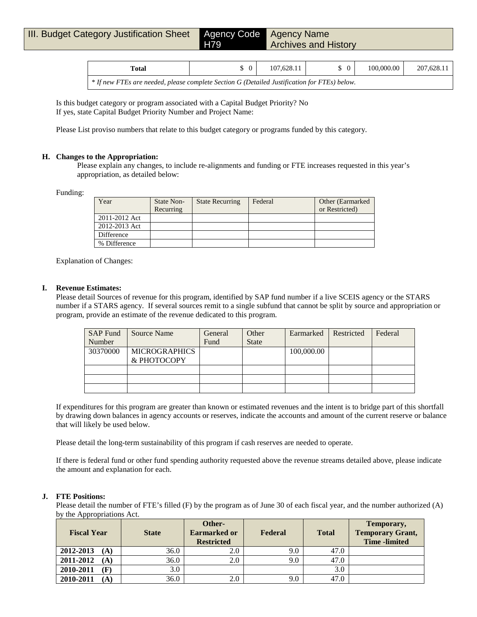| Total                                                                                          | 107.628.11 | 100,000,00 | 207.628.11 |
|------------------------------------------------------------------------------------------------|------------|------------|------------|
| $*$ If new FTEs are needed, please complete Section G (Detailed Justification for FTEs) below. |            |            |            |

Is this budget category or program associated with a Capital Budget Priority? No If yes, state Capital Budget Priority Number and Project Name:

Please List proviso numbers that relate to this budget category or programs funded by this category.

#### **H. Changes to the Appropriation:**

Please explain any changes, to include re-alignments and funding or FTE increases requested in this year's appropriation, as detailed below:

Funding:

| Year          | State Non- | <b>State Recurring</b> | Federal | Other (Earmarked) |
|---------------|------------|------------------------|---------|-------------------|
|               | Recurring  |                        |         | or Restricted)    |
| 2011-2012 Act |            |                        |         |                   |
| 2012-2013 Act |            |                        |         |                   |
| Difference    |            |                        |         |                   |
| % Difference  |            |                        |         |                   |

Explanation of Changes:

#### **I. Revenue Estimates:**

Please detail Sources of revenue for this program, identified by SAP fund number if a live SCEIS agency or the STARS number if a STARS agency. If several sources remit to a single subfund that cannot be split by source and appropriation or program, provide an estimate of the revenue dedicated to this program.

| <b>SAP Fund</b> | Source Name          | General | Other        | Earmarked  | Restricted | Federal |
|-----------------|----------------------|---------|--------------|------------|------------|---------|
| Number          |                      | Fund    | <b>State</b> |            |            |         |
| 30370000        | <b>MICROGRAPHICS</b> |         |              | 100,000.00 |            |         |
|                 | & PHOTOCOPY          |         |              |            |            |         |
|                 |                      |         |              |            |            |         |
|                 |                      |         |              |            |            |         |
|                 |                      |         |              |            |            |         |

If expenditures for this program are greater than known or estimated revenues and the intent is to bridge part of this shortfall by drawing down balances in agency accounts or reserves, indicate the accounts and amount of the current reserve or balance that will likely be used below.

Please detail the long-term sustainability of this program if cash reserves are needed to operate.

If there is federal fund or other fund spending authority requested above the revenue streams detailed above, please indicate the amount and explanation for each.

## **J. FTE Positions:**

Please detail the number of FTE's filled (F) by the program as of June 30 of each fiscal year, and the number authorized (A) by the Appropriations Act.

| <b>Fiscal Year</b> | <b>State</b> | Other-<br><b>Earmarked or</b><br><b>Restricted</b> | Federal | <b>Total</b> | Temporary,<br><b>Temporary Grant,</b><br><b>Time</b> -limited |
|--------------------|--------------|----------------------------------------------------|---------|--------------|---------------------------------------------------------------|
| 2012-2013<br>(A)   | 36.0         | 2.0                                                | 9.0     | 47.0         |                                                               |
| 2011-2012<br>(A)   | 36.0         | 2.0                                                | 9.0     | 47.0         |                                                               |
| 2010-2011<br>(F)   | 3.0          |                                                    |         | 3.0          |                                                               |
| 2010-2011<br>(A)   | 36.0         | 2.0                                                | 9.0     | 47.0         |                                                               |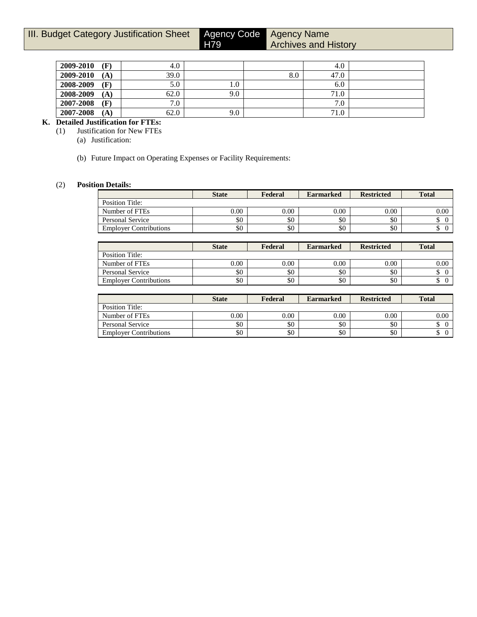H79

Agency Name Archives and History

| 2009-2010 | $\mathbf{F}$ | 4.0  |         |     | 4.0             |  |
|-----------|--------------|------|---------|-----|-----------------|--|
| 2009-2010 | (A)          | 39.0 |         | 8.0 | 47.0            |  |
| 2008-2009 | Œ            | 5.0  | $1.0\,$ |     | 6.0             |  |
| 2008-2009 | (A)          | 62.0 | 9.0     |     | 71.0            |  |
| 2007-2008 | $\mathbf{F}$ | 7.0  |         |     | ⇁<br>$\cdot$ .0 |  |
| 2007-2008 | (A)          | 62.0 | 9.0     |     | 71.0            |  |

# **K. Detailed Justification for FTEs:**<br>(1) Justification for New FTEs

- **Justification for New FTEs** 
	- (a) Justification:
	- (b) Future Impact on Operating Expenses or Facility Requirements:

## (2) **Position Details:**

|                               | <b>State</b> | Federal  | <b>Earmarked</b> | <b>Restricted</b> | <b>Total</b> |
|-------------------------------|--------------|----------|------------------|-------------------|--------------|
| Position Title:               |              |          |                  |                   |              |
| Number of FTEs                | 0.00         | $0.00\,$ | 0.00             | 0.00              | 0.00         |
| Personal Service              | \$0          | \$0      | \$0              | \$0               |              |
| <b>Employer Contributions</b> | \$0          | \$0      | \$0              | \$0               |              |

|                               | <b>State</b> | Federal | <b>Earmarked</b> | <b>Restricted</b> | <b>Total</b> |
|-------------------------------|--------------|---------|------------------|-------------------|--------------|
| Position Title:               |              |         |                  |                   |              |
| Number of FTEs                | 0.00         | 0.00    | 0.00             | 0.00              | 0.00         |
| Personal Service              | \$0          | \$0     | \$0              | \$0               |              |
| <b>Employer Contributions</b> | \$0          | \$0     | \$0              | \$0               |              |

|                               | <b>State</b> | Federal | <b>Earmarked</b> | <b>Restricted</b> | <b>Total</b> |
|-------------------------------|--------------|---------|------------------|-------------------|--------------|
| Position Title:               |              |         |                  |                   |              |
| Number of FTEs                | 0.00         | 0.00    | 0.00             | 0.00              | 0.00         |
| Personal Service              | \$0          | \$0     | \$0              | \$0               |              |
| <b>Employer Contributions</b> | \$0          | \$0     | \$0              | \$0               |              |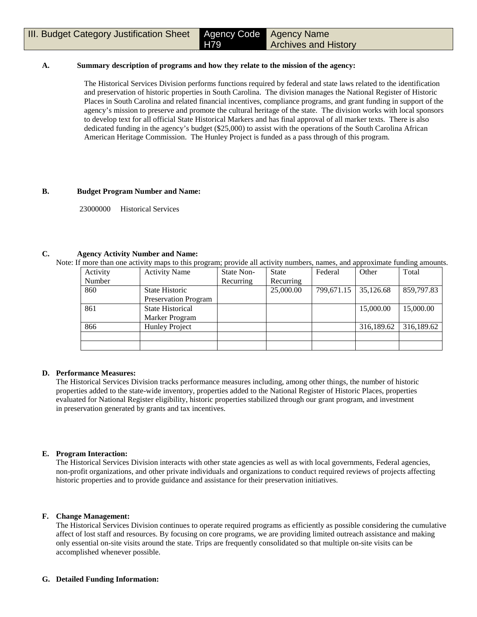#### **A. Summary description of programs and how they relate to the mission of the agency:**

The Historical Services Division performs functions required by federal and state laws related to the identification and preservation of historic properties in South Carolina. The division manages the National Register of Historic Places in South Carolina and related financial incentives, compliance programs, and grant funding in support of the agency's mission to preserve and promote the cultural heritage of the state. The division works with local sponsors to develop text for all official State Historical Markers and has final approval of all marker texts. There is also dedicated funding in the agency's budget (\$25,000) to assist with the operations of the South Carolina African American Heritage Commission. The Hunley Project is funded as a pass through of this program.

#### **B. Budget Program Number and Name:**

23000000 Historical Services

#### **C. Agency Activity Number and Name:**

Note: If more than one activity maps to this program; provide all activity numbers, names, and approximate funding amounts.

| Activity | <b>Activity Name</b>        | State Non- | <b>State</b> | Federal    | Other      | Total      |
|----------|-----------------------------|------------|--------------|------------|------------|------------|
| Number   |                             | Recurring  | Recurring    |            |            |            |
| 860      | State Historic              |            | 25,000.00    | 799,671.15 | 35,126.68  | 859,797.83 |
|          | <b>Preservation Program</b> |            |              |            |            |            |
| 861      | <b>State Historical</b>     |            |              |            | 15,000.00  | 15,000.00  |
|          | Marker Program              |            |              |            |            |            |
| 866      | <b>Hunley Project</b>       |            |              |            | 316,189.62 | 316,189.62 |
|          |                             |            |              |            |            |            |
|          |                             |            |              |            |            |            |

## **D. Performance Measures:**

The Historical Services Division tracks performance measures including, among other things, the number of historic properties added to the state-wide inventory, properties added to the National Register of Historic Places, properties evaluated for National Register eligibility, historic properties stabilized through our grant program, and investment in preservation generated by grants and tax incentives.

## **E. Program Interaction:**

The Historical Services Division interacts with other state agencies as well as with local governments, Federal agencies, non-profit organizations, and other private individuals and organizations to conduct required reviews of projects affecting historic properties and to provide guidance and assistance for their preservation initiatives.

#### **F. Change Management:**

The Historical Services Division continues to operate required programs as efficiently as possible considering the cumulative affect of lost staff and resources. By focusing on core programs, we are providing limited outreach assistance and making only essential on-site visits around the state. Trips are frequently consolidated so that multiple on-site visits can be accomplished whenever possible.

#### **G. Detailed Funding Information:**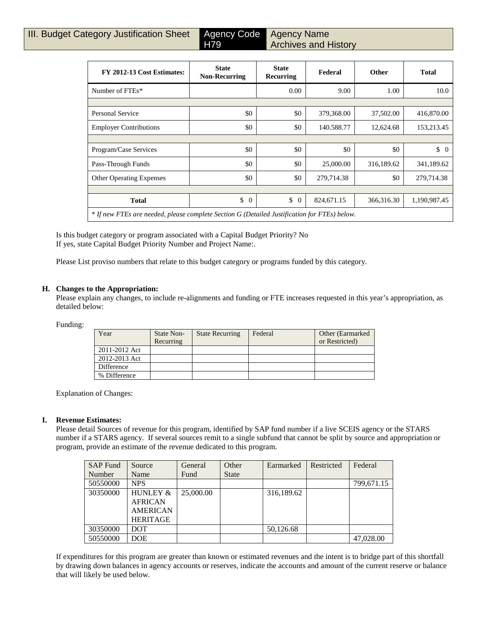Agency Name Archives and History

| FY 2012-13 Cost Estimates:                                                                   | <b>State</b><br><b>Non-Recurring</b> | <b>State</b><br><b>Recurring</b> | Federal    | <b>Other</b> | <b>Total</b>         |
|----------------------------------------------------------------------------------------------|--------------------------------------|----------------------------------|------------|--------------|----------------------|
| Number of FTEs*                                                                              |                                      | 0.00                             | 9.00       | 1.00         | 10.0                 |
|                                                                                              |                                      |                                  |            |              |                      |
| Personal Service                                                                             | \$0                                  | \$0                              | 379,368.00 | 37,502.00    | 416,870.00           |
| <b>Employer Contributions</b>                                                                | \$0                                  | \$0                              | 140.588.77 | 12,624.68    | 153,213.45           |
|                                                                                              |                                      |                                  |            |              |                      |
| Program/Case Services                                                                        | \$0                                  | \$0                              | \$0        | \$0          | \$<br>$\overline{0}$ |
| Pass-Through Funds                                                                           | \$0                                  | \$0                              | 25,000.00  | 316,189.62   | 341,189.62           |
| <b>Other Operating Expenses</b>                                                              | \$0                                  | \$0                              | 279,714.38 | \$0          | 279,714.38           |
|                                                                                              |                                      |                                  |            |              |                      |
| <b>Total</b>                                                                                 | \$<br>$\theta$                       | \$<br>$\overline{0}$             | 824,671.15 | 366,316.30   | 1,190,987.45         |
| * If new FTEs are needed, please complete Section G (Detailed Justification for FTEs) below. |                                      |                                  |            |              |                      |

Is this budget category or program associated with a Capital Budget Priority? No If yes, state Capital Budget Priority Number and Project Name:.

Please List proviso numbers that relate to this budget category or programs funded by this category.

H79

#### **H. Changes to the Appropriation:**

Please explain any changes, to include re-alignments and funding or FTE increases requested in this year's appropriation, as detailed below:

Funding:

| Year          | State Non-<br>Recurring | <b>State Recurring</b> | Federal | Other (Earmarked)<br>or Restricted) |
|---------------|-------------------------|------------------------|---------|-------------------------------------|
| 2011-2012 Act |                         |                        |         |                                     |
| 2012-2013 Act |                         |                        |         |                                     |
| Difference    |                         |                        |         |                                     |
| % Difference  |                         |                        |         |                                     |

Explanation of Changes:

#### **I. Revenue Estimates:**

Please detail Sources of revenue for this program, identified by SAP fund number if a live SCEIS agency or the STARS number if a STARS agency. If several sources remit to a single subfund that cannot be split by source and appropriation or program, provide an estimate of the revenue dedicated to this program.

| <b>SAP Fund</b> | Source              | General   | Other        | Earmarked  | Restricted | Federal    |
|-----------------|---------------------|-----------|--------------|------------|------------|------------|
| Number          | Name                | Fund      | <b>State</b> |            |            |            |
| 50550000        | <b>NPS</b>          |           |              |            |            | 799,671.15 |
| 30350000        | <b>HUNLEY &amp;</b> | 25,000.00 |              | 316,189.62 |            |            |
|                 | <b>AFRICAN</b>      |           |              |            |            |            |
|                 | <b>AMERICAN</b>     |           |              |            |            |            |
|                 | <b>HERITAGE</b>     |           |              |            |            |            |
| 30350000        | <b>DOT</b>          |           |              | 50,126.68  |            |            |
| 50550000        | <b>DOE</b>          |           |              |            |            | 47,028.00  |

If expenditures for this program are greater than known or estimated revenues and the intent is to bridge part of this shortfall by drawing down balances in agency accounts or reserves, indicate the accounts and amount of the current reserve or balance that will likely be used below.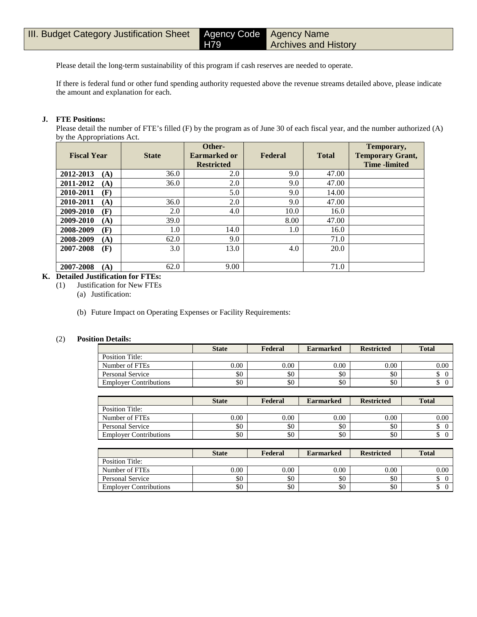Agency Name Archives and History

Please detail the long-term sustainability of this program if cash reserves are needed to operate.

H79

If there is federal fund or other fund spending authority requested above the revenue streams detailed above, please indicate the amount and explanation for each.

#### **J. FTE Positions:**

Please detail the number of FTE's filled (F) by the program as of June 30 of each fiscal year, and the number authorized (A) by the Appropriations Act.

| <b>Fiscal Year</b> | <b>State</b> | Other-<br>Earmarked or<br><b>Restricted</b> | Federal | <b>Total</b> | Temporary,<br><b>Temporary Grant,</b><br><b>Time</b> -limited |
|--------------------|--------------|---------------------------------------------|---------|--------------|---------------------------------------------------------------|
| 2012-2013<br>(A)   | 36.0         | 2.0                                         | 9.0     | 47.00        |                                                               |
| 2011-2012<br>(A)   | 36.0         | 2.0                                         | 9.0     | 47.00        |                                                               |
| 2010-2011<br>(F)   |              | 5.0                                         | 9.0     | 14.00        |                                                               |
| 2010-2011<br>(A)   | 36.0         | 2.0                                         | 9.0     | 47.00        |                                                               |
| 2009-2010<br>(F)   | 2.0          | 4.0                                         | 10.0    | 16.0         |                                                               |
| 2009-2010<br>(A)   | 39.0         |                                             | 8.00    | 47.00        |                                                               |
| 2008-2009<br>(F)   | 1.0          | 14.0                                        | 1.0     | 16.0         |                                                               |
| 2008-2009<br>(A)   | 62.0         | 9.0                                         |         | 71.0         |                                                               |
| 2007-2008<br>(F)   | 3.0          | 13.0                                        | 4.0     | 20.0         |                                                               |
| 2007-2008<br>(A)   | 62.0         | 9.00                                        |         | 71.0         |                                                               |

## **K. Detailed Justification for FTEs:**

(1) Justification for New FTEs

(a) Justification:

(b) Future Impact on Operating Expenses or Facility Requirements:

#### (2) **Position Details:**

|                               | <b>State</b> | Federal | <b>Earmarked</b> | <b>Restricted</b> | <b>Total</b> |
|-------------------------------|--------------|---------|------------------|-------------------|--------------|
| Position Title:               |              |         |                  |                   |              |
| Number of FTEs                | 0.00         | 0.00    | 0.00             | 0.00              | $0.00\,$     |
| Personal Service              | \$0          | \$0     | \$0              | \$0               |              |
| <b>Employer Contributions</b> | \$0          | \$0     | \$0              | \$0               |              |

|                               | <b>State</b> | Federal  | <b>Earmarked</b> | <b>Restricted</b> | <b>Total</b> |
|-------------------------------|--------------|----------|------------------|-------------------|--------------|
| Position Title:               |              |          |                  |                   |              |
| Number of FTEs                | 0.00         | $0.00\,$ | 0.00             | 0.00              | 0.00         |
| Personal Service              | \$0          | \$0      | \$0              | \$0               | D            |
| <b>Employer Contributions</b> | \$0          | \$0      | \$0              | \$0               | D            |

|                               | <b>State</b> | Federal | <b>Earmarked</b> | <b>Restricted</b> | <b>Total</b> |
|-------------------------------|--------------|---------|------------------|-------------------|--------------|
| Position Title:               |              |         |                  |                   |              |
| Number of FTEs                | 0.00         | 0.00    | 0.00             | 0.00              | 0.00         |
| Personal Service              | \$0          | \$0     | \$0              | \$0               | Φ            |
| <b>Employer Contributions</b> | \$0          | \$0     | \$0              | \$0               | ◡            |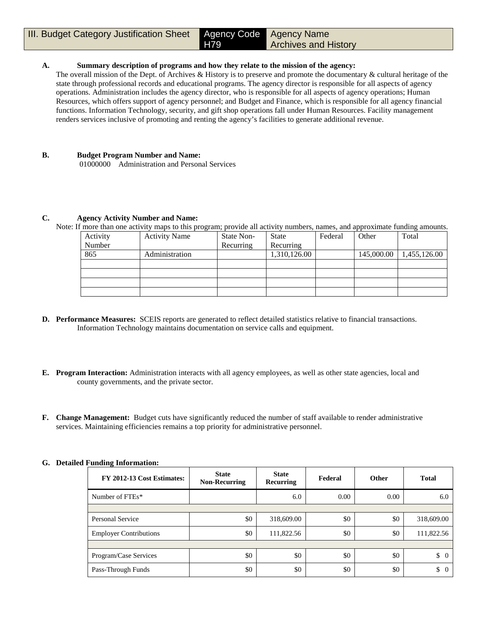## **A. Summary description of programs and how they relate to the mission of the agency:**

H79

The overall mission of the Dept. of Archives & History is to preserve and promote the documentary & cultural heritage of the state through professional records and educational programs. The agency director is responsible for all aspects of agency operations. Administration includes the agency director, who is responsible for all aspects of agency operations; Human Resources, which offers support of agency personnel; and Budget and Finance, which is responsible for all agency financial functions. Information Technology, security, and gift shop operations fall under Human Resources. Facility management renders services inclusive of promoting and renting the agency's facilities to generate additional revenue.

## **B. Budget Program Number and Name:**

01000000 Administration and Personal Services

## **C. Agency Activity Number and Name:**

Note: If more than one activity maps to this program; provide all activity numbers, names, and approximate funding amounts.

| Activity | <b>Activity Name</b> | State Non- | <b>State</b> | Federal | Other      | Total        |
|----------|----------------------|------------|--------------|---------|------------|--------------|
| Number   |                      | Recurring  | Recurring    |         |            |              |
| 865      | Administration       |            | 1,310,126.00 |         | 145,000.00 | 1,455,126.00 |
|          |                      |            |              |         |            |              |
|          |                      |            |              |         |            |              |
|          |                      |            |              |         |            |              |
|          |                      |            |              |         |            |              |

- **D. Performance Measures:** SCEIS reports are generated to reflect detailed statistics relative to financial transactions. Information Technology maintains documentation on service calls and equipment.
- **E. Program Interaction:** Administration interacts with all agency employees, as well as other state agencies, local and county governments, and the private sector.
- **F. Change Management:** Budget cuts have significantly reduced the number of staff available to render administrative services. Maintaining efficiencies remains a top priority for administrative personnel.

| FY 2012-13 Cost Estimates:    | <b>State</b><br><b>Non-Recurring</b> | <b>State</b><br>Recurring | Federal | <b>Other</b> | <b>Total</b>         |
|-------------------------------|--------------------------------------|---------------------------|---------|--------------|----------------------|
| Number of FTEs*               |                                      | 6.0                       | 0.00    | 0.00         | 6.0                  |
|                               |                                      |                           |         |              |                      |
| Personal Service              | \$0                                  | 318,609.00                | \$0     | \$0          | 318,609.00           |
| <b>Employer Contributions</b> | \$0                                  | 111,822.56                | \$0     | \$0          | 111,822.56           |
|                               |                                      |                           |         |              |                      |
| Program/Case Services         | \$0                                  | \$0                       | \$0     | \$0          | \$<br>$\overline{0}$ |
| Pass-Through Funds            | \$0                                  | \$0                       | \$0     | \$0          | \$<br>$\theta$       |

## **G. Detailed Funding Information:**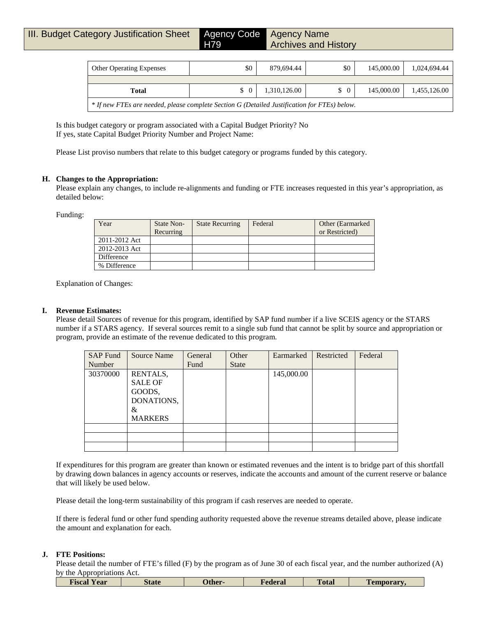| <b>Other Operating Expenses</b>                                                              | \$0      | 879,694.44   | \$0           | 145,000.00 | 1,024,694.44 |  |  |
|----------------------------------------------------------------------------------------------|----------|--------------|---------------|------------|--------------|--|--|
|                                                                                              |          |              |               |            |              |  |  |
| Total                                                                                        | $\Omega$ | 1,310,126.00 | $\frac{1}{2}$ | 145,000.00 | 1,455,126.00 |  |  |
| * If new FTEs are needed, please complete Section G (Detailed Justification for FTEs) below. |          |              |               |            |              |  |  |

Is this budget category or program associated with a Capital Budget Priority? No If yes, state Capital Budget Priority Number and Project Name:

Please List proviso numbers that relate to this budget category or programs funded by this category.

#### **H. Changes to the Appropriation:**

Please explain any changes, to include re-alignments and funding or FTE increases requested in this year's appropriation, as detailed below:

Funding:

| Year          | State Non-<br>Recurring | <b>State Recurring</b> | Federal | Other (Earmarked)<br>or Restricted) |
|---------------|-------------------------|------------------------|---------|-------------------------------------|
| 2011-2012 Act |                         |                        |         |                                     |
| 2012-2013 Act |                         |                        |         |                                     |
| Difference    |                         |                        |         |                                     |
| % Difference  |                         |                        |         |                                     |

Explanation of Changes:

## **I. Revenue Estimates:**

Please detail Sources of revenue for this program, identified by SAP fund number if a live SCEIS agency or the STARS number if a STARS agency. If several sources remit to a single sub fund that cannot be split by source and appropriation or program, provide an estimate of the revenue dedicated to this program.

| <b>SAP Fund</b> | <b>Source Name</b>                                      | General | Other        | Earmarked  | Restricted | Federal |
|-----------------|---------------------------------------------------------|---------|--------------|------------|------------|---------|
| Number          |                                                         | Fund    | <b>State</b> |            |            |         |
| 30370000        | RENTALS,<br><b>SALE OF</b><br>GOODS,<br>DONATIONS,<br>& |         |              | 145,000.00 |            |         |
|                 | <b>MARKERS</b>                                          |         |              |            |            |         |
|                 |                                                         |         |              |            |            |         |
|                 |                                                         |         |              |            |            |         |
|                 |                                                         |         |              |            |            |         |

If expenditures for this program are greater than known or estimated revenues and the intent is to bridge part of this shortfall by drawing down balances in agency accounts or reserves, indicate the accounts and amount of the current reserve or balance that will likely be used below.

Please detail the long-term sustainability of this program if cash reserves are needed to operate.

If there is federal fund or other fund spending authority requested above the revenue streams detailed above, please indicate the amount and explanation for each.

#### **J. FTE Positions:**

Please detail the number of FTE's filled (F) by the program as of June 30 of each fiscal year, and the number authorized (A) by the Appropriations Act.

|  | <b>Fiscal Year</b> | <b>State</b> | -Other | Federal | <b>Total</b> | remporary |
|--|--------------------|--------------|--------|---------|--------------|-----------|
|--|--------------------|--------------|--------|---------|--------------|-----------|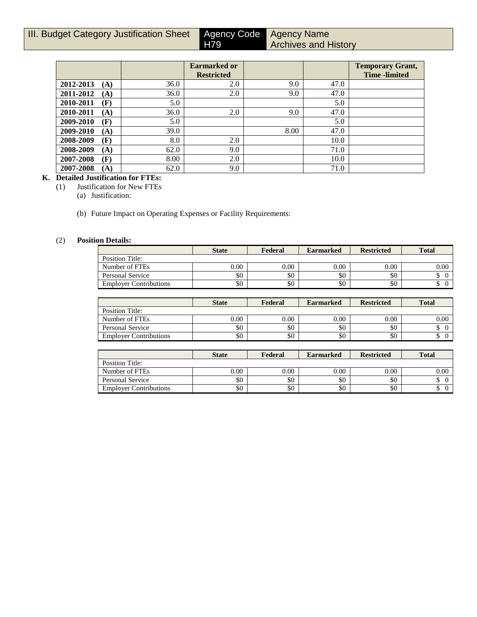| III. Budget Category Justification Sheet | Agency Code |
|------------------------------------------|-------------|
|                                          | $\Box$      |

Agency Name Archives and History

|                  |      | <b>Earmarked or</b> |      |      | <b>Temporary Grant,</b> |
|------------------|------|---------------------|------|------|-------------------------|
|                  |      | <b>Restricted</b>   |      |      | <b>Time</b> -limited    |
| 2012-2013<br>(A) | 36.0 | 2.0                 | 9.0  | 47.0 |                         |
| 2011-2012<br>(A) | 36.0 | 2.0                 | 9.0  | 47.0 |                         |
| 2010-2011<br>(F) | 5.0  |                     |      | 5.0  |                         |
| 2010-2011<br>(A) | 36.0 | 2.0                 | 9.0  | 47.0 |                         |
| 2009-2010<br>(F) | 5.0  |                     |      | 5.0  |                         |
| 2009-2010<br>(A) | 39.0 |                     | 8.00 | 47.0 |                         |
| 2008-2009<br>(F) | 8.0  | 2.0                 |      | 10.0 |                         |
| 2008-2009<br>(A) | 62.0 | 9.0                 |      | 71.0 |                         |
| 2007-2008<br>(F) | 8.00 | 2.0                 |      | 10.0 |                         |
| 2007-2008<br>(A) | 62.0 | 9.0                 |      | 71.0 |                         |

H79

## **K. Detailed Justification for FTEs:**

(1) Justification for New FTEs

(a) Justification:

(b) Future Impact on Operating Expenses or Facility Requirements:

## (2) **Position Details:**

|                               | <b>State</b> | Federal | <b>Earmarked</b> | <b>Restricted</b> | <b>Total</b> |
|-------------------------------|--------------|---------|------------------|-------------------|--------------|
| Position Title:               |              |         |                  |                   |              |
| Number of FTEs                | 0.00         | 0.00    | 0.00             | 0.00              | 0.00         |
| Personal Service              | \$0          | \$0     | \$0              | \$0               |              |
| <b>Employer Contributions</b> | \$0          | \$0     | \$0              | \$0               |              |

|                               | <b>State</b> | Federal  | <b>Earmarked</b> | <b>Restricted</b> | <b>Total</b> |
|-------------------------------|--------------|----------|------------------|-------------------|--------------|
| Position Title:               |              |          |                  |                   |              |
| Number of FTEs                | 0.00         | $0.00\,$ | 0.00             | 0.00              | 0.00         |
| Personal Service              | \$0          | \$0      | \$0              | \$0               |              |
| <b>Employer Contributions</b> | \$0          | \$0      | \$0              | \$0               |              |

|                               | <b>State</b> | Federal  | <b>Earmarked</b> | <b>Restricted</b> | <b>Total</b> |
|-------------------------------|--------------|----------|------------------|-------------------|--------------|
| Position Title:               |              |          |                  |                   |              |
| Number of FTEs                | 0.00         | $0.00\,$ | 0.00             | 0.00              | 0.00         |
| Personal Service              | \$0          | \$0      | \$0              | \$0               | ιD           |
| <b>Employer Contributions</b> | \$0          | \$0      | \$0              | \$0               | ۰            |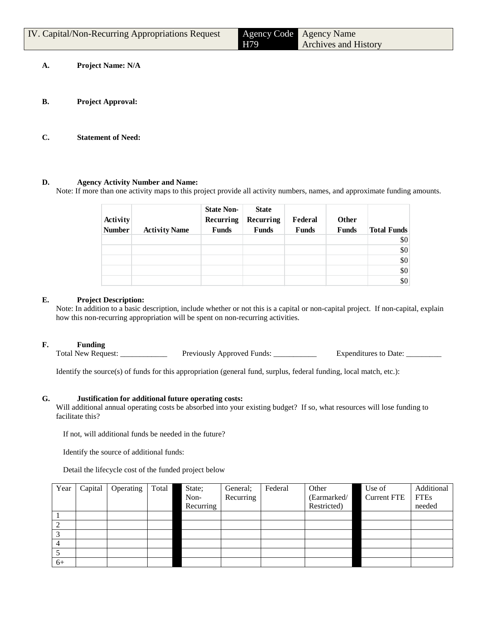| <b>IV.</b> Capital/Non-Recurring Appropriations Request | H79 | Agency Code Agency Name<br><b>Archives and History</b> |
|---------------------------------------------------------|-----|--------------------------------------------------------|
| <b>Project Name: N/A</b>                                |     |                                                        |

- **B. Project Approval:**
- **C. Statement of Need:**

#### **D. Agency Activity Number and Name:**

Note: If more than one activity maps to this project provide all activity numbers, names, and approximate funding amounts.

| Activity<br><b>Number</b> | <b>Activity Name</b> | <b>State Non-</b><br>Recurring<br><b>Funds</b> | <b>State</b><br>Recurring<br><b>Funds</b> | Federal<br><b>Funds</b> | <b>Other</b><br><b>Funds</b> | <b>Total Funds</b> |
|---------------------------|----------------------|------------------------------------------------|-------------------------------------------|-------------------------|------------------------------|--------------------|
|                           |                      |                                                |                                           |                         |                              | \$0                |
|                           |                      |                                                |                                           |                         |                              | \$0                |
|                           |                      |                                                |                                           |                         |                              | \$0                |
|                           |                      |                                                |                                           |                         |                              | \$0                |
|                           |                      |                                                |                                           |                         |                              | \$0                |

## **E. Project Description:**

Note: In addition to a basic description, include whether or not this is a capital or non-capital project. If non-capital, explain how this non-recurring appropriation will be spent on non-recurring activities.

#### **F. Funding**

Total New Request: \_\_\_\_\_\_\_\_\_\_\_\_\_\_\_ Previously Approved Funds: \_\_\_\_\_\_\_\_\_\_\_\_ Expenditures to Date: \_\_\_\_\_\_\_\_

Identify the source(s) of funds for this appropriation (general fund, surplus, federal funding, local match, etc.):

#### **G. Justification for additional future operating costs:**

Will additional annual operating costs be absorbed into your existing budget? If so, what resources will lose funding to facilitate this?

If not, will additional funds be needed in the future?

Identify the source of additional funds:

Detail the lifecycle cost of the funded project below

| Year | Capital | Operating | Total | State;    | General;  | Federal | Other       | Use of             | Additional  |
|------|---------|-----------|-------|-----------|-----------|---------|-------------|--------------------|-------------|
|      |         |           |       | Non-      | Recurring |         | (Earmarked/ | <b>Current FTE</b> | <b>FTEs</b> |
|      |         |           |       | Recurring |           |         | Restricted) |                    | needed      |
|      |         |           |       |           |           |         |             |                    |             |
|      |         |           |       |           |           |         |             |                    |             |
|      |         |           |       |           |           |         |             |                    |             |
| 4    |         |           |       |           |           |         |             |                    |             |
|      |         |           |       |           |           |         |             |                    |             |
| $6+$ |         |           |       |           |           |         |             |                    |             |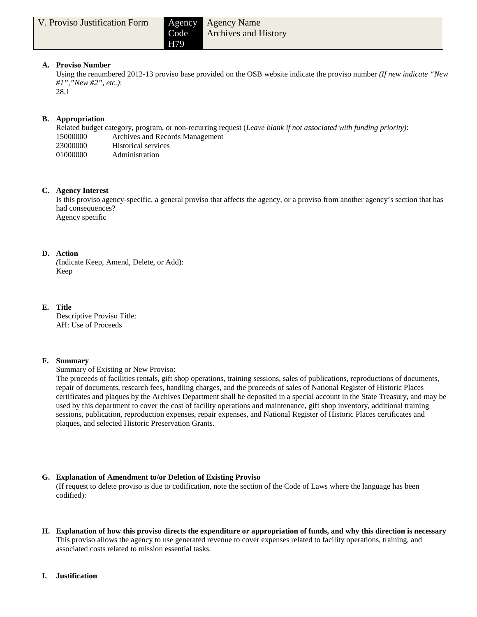## Agency Name Archives and History

## **A. Proviso Number**

Using the renumbered 2012-13 proviso base provided on the OSB website indicate the proviso number *(If new indicate "New #1","New #2", etc.)*:

28.1

## **B. Appropriation**

Related budget category, program, or non-recurring request (*Leave blank if not associated with funding priority)*: Archives and Records Management Historical services Administration

## **C. Agency Interest**

Is this proviso agency-specific, a general proviso that affects the agency, or a proviso from another agency's section that has had consequences? Agency specific

## **D. Action**

*(*Indicate Keep, Amend, Delete, or Add): Keep

## **E. Title**

Descriptive Proviso Title: AH: Use of Proceeds

## **F. Summary**

Summary of Existing or New Proviso:

The proceeds of facilities rentals, gift shop operations, training sessions, sales of publications, reproductions of documents, repair of documents, research fees, handling charges, and the proceeds of sales of National Register of Historic Places certificates and plaques by the Archives Department shall be deposited in a special account in the State Treasury, and may be used by this department to cover the cost of facility operations and maintenance, gift shop inventory, additional training sessions, publication, reproduction expenses, repair expenses, and National Register of Historic Places certificates and plaques, and selected Historic Preservation Grants.

## **G. Explanation of Amendment to/or Deletion of Existing Proviso**

(If request to delete proviso is due to codification, note the section of the Code of Laws where the language has been codified):

- **H. Explanation of how this proviso directs the expenditure or appropriation of funds, and why this direction is necessary** This proviso allows the agency to use generated revenue to cover expenses related to facility operations, training, and associated costs related to mission essential tasks.
- **I. Justification**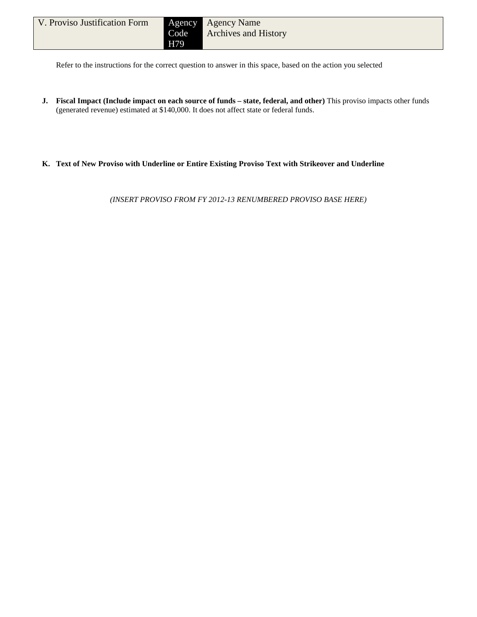Refer to the instructions for the correct question to answer in this space, based on the action you selected

- **J. Fiscal Impact (Include impact on each source of funds – state, federal, and other)** This proviso impacts other funds (generated revenue) estimated at \$140,000. It does not affect state or federal funds.
- **K. Text of New Proviso with Underline or Entire Existing Proviso Text with Strikeover and Underline**

*(INSERT PROVISO FROM FY 2012-13 RENUMBERED PROVISO BASE HERE)*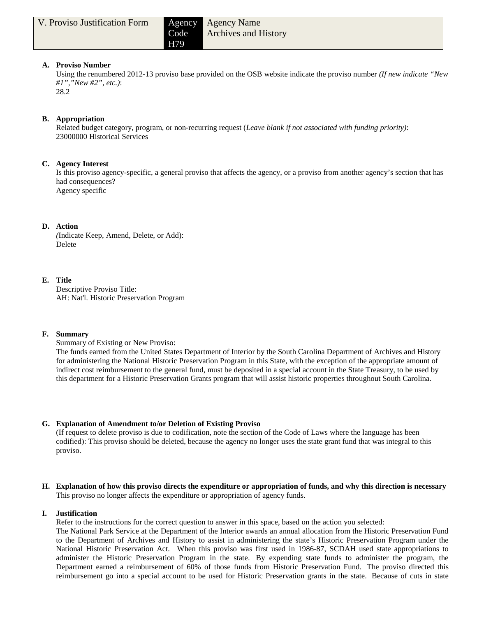## Agency Name Archives and History

## **A. Proviso Number**

Using the renumbered 2012-13 proviso base provided on the OSB website indicate the proviso number *(If new indicate "New #1","New #2", etc.)*:

28.2

## **B. Appropriation**

Related budget category, program, or non-recurring request (*Leave blank if not associated with funding priority)*: 23000000 Historical Services

## **C. Agency Interest**

Is this proviso agency-specific, a general proviso that affects the agency, or a proviso from another agency's section that has had consequences? Agency specific

## **D. Action**

*(*Indicate Keep, Amend, Delete, or Add): Delete

## **E. Title**

Descriptive Proviso Title: AH: Nat'l. Historic Preservation Program

## **F. Summary**

Summary of Existing or New Proviso:

The funds earned from the United States Department of Interior by the South Carolina Department of Archives and History for administering the National Historic Preservation Program in this State, with the exception of the appropriate amount of indirect cost reimbursement to the general fund, must be deposited in a special account in the State Treasury, to be used by this department for a Historic Preservation Grants program that will assist historic properties throughout South Carolina.

## **G. Explanation of Amendment to/or Deletion of Existing Proviso**

(If request to delete proviso is due to codification, note the section of the Code of Laws where the language has been codified): This proviso should be deleted, because the agency no longer uses the state grant fund that was integral to this proviso.

**H. Explanation of how this proviso directs the expenditure or appropriation of funds, and why this direction is necessary** This proviso no longer affects the expenditure or appropriation of agency funds.

## **I. Justification**

Refer to the instructions for the correct question to answer in this space, based on the action you selected:

The National Park Service at the Department of the Interior awards an annual allocation from the Historic Preservation Fund to the Department of Archives and History to assist in administering the state's Historic Preservation Program under the National Historic Preservation Act. When this proviso was first used in 1986-87, SCDAH used state appropriations to administer the Historic Preservation Program in the state. By expending state funds to administer the program, the Department earned a reimbursement of 60% of those funds from Historic Preservation Fund. The proviso directed this reimbursement go into a special account to be used for Historic Preservation grants in the state. Because of cuts in state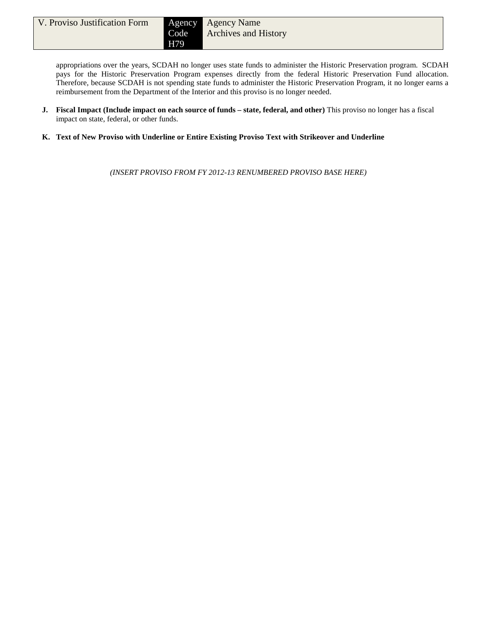appropriations over the years, SCDAH no longer uses state funds to administer the Historic Preservation program. SCDAH pays for the Historic Preservation Program expenses directly from the federal Historic Preservation Fund allocation. Therefore, because SCDAH is not spending state funds to administer the Historic Preservation Program, it no longer earns a reimbursement from the Department of the Interior and this proviso is no longer needed.

- **J. Fiscal Impact (Include impact on each source of funds – state, federal, and other)** This proviso no longer has a fiscal impact on state, federal, or other funds.
- **K. Text of New Proviso with Underline or Entire Existing Proviso Text with Strikeover and Underline**

*(INSERT PROVISO FROM FY 2012-13 RENUMBERED PROVISO BASE HERE)*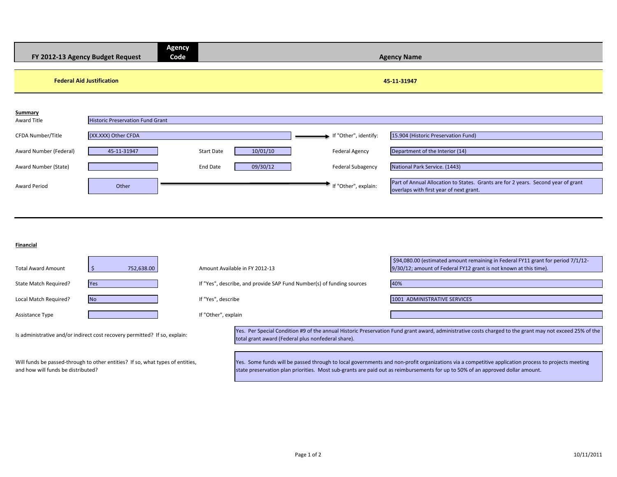|                        | FY 2012-13 Agency Budget Request        | <b>Agency</b><br>Code |          |                          | <b>Agency Name</b>                                                                                                           |
|------------------------|-----------------------------------------|-----------------------|----------|--------------------------|------------------------------------------------------------------------------------------------------------------------------|
|                        | <b>Federal Aid Justification</b>        |                       |          |                          | 45-11-31947                                                                                                                  |
| Summary                |                                         |                       |          |                          |                                                                                                                              |
| Award Title            | <b>Historic Preservation Fund Grant</b> |                       |          |                          |                                                                                                                              |
| CFDA Number/Title      | (XX.XXX) Other CFDA                     |                       |          | If "Other", identify:    | 15.904 (Historic Preservation Fund)                                                                                          |
| Award Number (Federal) | 45-11-31947                             | Start Date            | 10/01/10 | <b>Federal Agency</b>    | Department of the Interior (14)                                                                                              |
| Award Number (State)   |                                         | End Date              | 09/30/12 | <b>Federal Subagency</b> | National Park Service. (1443)                                                                                                |
| Award Period           | Other                                   |                       |          | If "Other", explain:     | Part of Annual Allocation to States. Grants are for 2 years. Second year of grant<br>overlaps with first year of next grant. |

**Financial**

| <b>Total Award Amount</b>                                                                                            | 752,638.00                                                                 |                     | Amount Available in FY 2012-13                                        | \$94,080.00 (estimated amount remaining in Federal FY11 grant for period 7/1/12-<br>9/30/12; amount of Federal FY12 grant is not known at this time).                                                                                                                                |
|----------------------------------------------------------------------------------------------------------------------|----------------------------------------------------------------------------|---------------------|-----------------------------------------------------------------------|--------------------------------------------------------------------------------------------------------------------------------------------------------------------------------------------------------------------------------------------------------------------------------------|
| State Match Required?                                                                                                | <b>Yes</b>                                                                 |                     | If "Yes", describe, and provide SAP Fund Number(s) of funding sources | 40%                                                                                                                                                                                                                                                                                  |
| Local Match Required?                                                                                                | <b>No</b>                                                                  | If "Yes", describe  |                                                                       | 1001 ADMINISTRATIVE SERVICES                                                                                                                                                                                                                                                         |
| <b>Assistance Type</b>                                                                                               |                                                                            | If "Other", explain |                                                                       |                                                                                                                                                                                                                                                                                      |
|                                                                                                                      | Is administrative and/or indirect cost recovery permitted? If so, explain: |                     | total grant award (Federal plus nonfederal share).                    | Yes. Per Special Condition #9 of the annual Historic Preservation Fund grant award, administrative costs charged to the grant may not exceed 25% of the                                                                                                                              |
| Will funds be passed-through to other entities? If so, what types of entities,<br>and how will funds be distributed? |                                                                            |                     |                                                                       | Yes. Some funds will be passed through to local governments and non-profit organizations via a competitive application process to projects meeting<br>state preservation plan priorities. Most sub-grants are paid out as reimbursements for up to 50% of an approved dollar amount. |